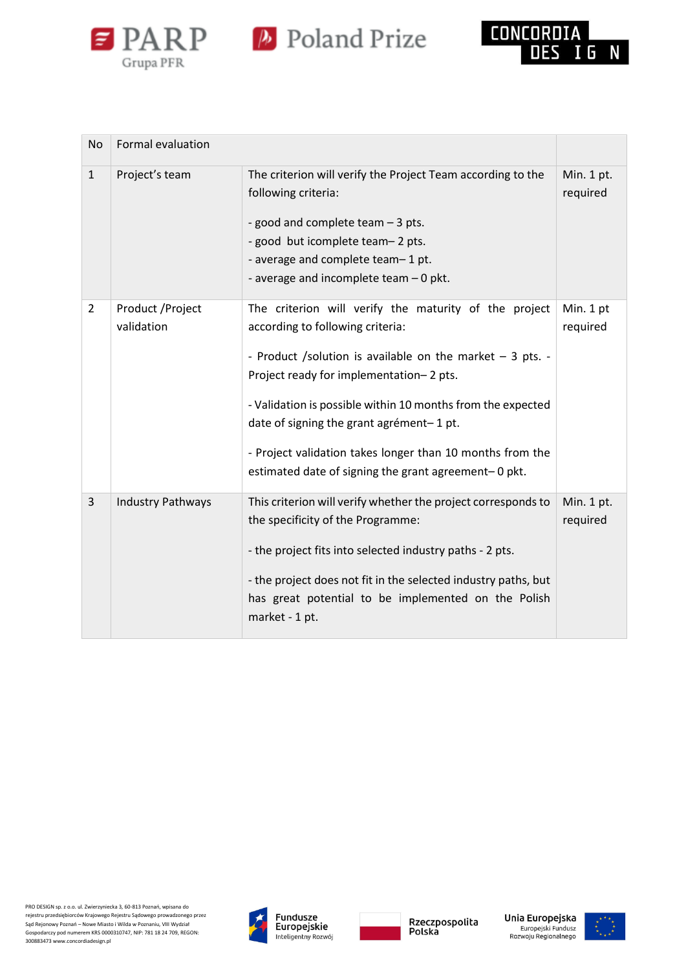



| No             | Formal evaluation               |                                                                                                                                                                                                                                                                                                                                                                                                                                    |                        |
|----------------|---------------------------------|------------------------------------------------------------------------------------------------------------------------------------------------------------------------------------------------------------------------------------------------------------------------------------------------------------------------------------------------------------------------------------------------------------------------------------|------------------------|
| $\mathbf{1}$   | Project's team                  | The criterion will verify the Project Team according to the<br>following criteria:<br>- good and complete team - 3 pts.<br>- good but icomplete team-2 pts.<br>- average and complete team-1 pt.<br>- average and incomplete team - 0 pkt.                                                                                                                                                                                         | Min. 1 pt.<br>required |
| 2              | Product / Project<br>validation | The criterion will verify the maturity of the project<br>according to following criteria:<br>- Product /solution is available on the market $-3$ pts. -<br>Project ready for implementation-2 pts.<br>- Validation is possible within 10 months from the expected<br>date of signing the grant agrément-1 pt.<br>- Project validation takes longer than 10 months from the<br>estimated date of signing the grant agreement-0 pkt. | Min. 1 pt<br>required  |
| $\overline{3}$ | <b>Industry Pathways</b>        | This criterion will verify whether the project corresponds to<br>the specificity of the Programme:<br>- the project fits into selected industry paths - 2 pts.<br>- the project does not fit in the selected industry paths, but<br>has great potential to be implemented on the Polish<br>market - 1 pt.                                                                                                                          | Min. 1 pt.<br>required |







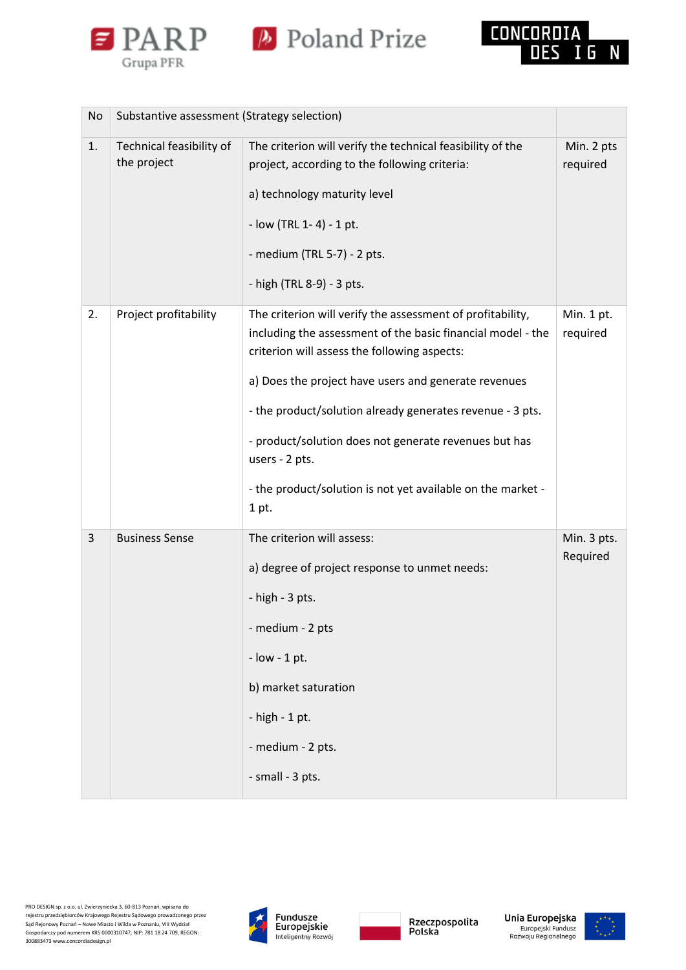

*P* Poland Prize



| No | Substantive assessment (Strategy selection) |                                                                                                                                                                                                                                                                                                                                                                                                                                                   |                         |
|----|---------------------------------------------|---------------------------------------------------------------------------------------------------------------------------------------------------------------------------------------------------------------------------------------------------------------------------------------------------------------------------------------------------------------------------------------------------------------------------------------------------|-------------------------|
| 1. | Technical feasibility of<br>the project     | The criterion will verify the technical feasibility of the<br>project, according to the following criteria:<br>a) technology maturity level<br>- low (TRL 1-4) - 1 pt.<br>- medium (TRL 5-7) - 2 pts.<br>- high (TRL 8-9) - 3 pts.                                                                                                                                                                                                                | Min. 2 pts<br>required  |
| 2. | Project profitability                       | The criterion will verify the assessment of profitability,<br>including the assessment of the basic financial model - the<br>criterion will assess the following aspects:<br>a) Does the project have users and generate revenues<br>- the product/solution already generates revenue - 3 pts.<br>- product/solution does not generate revenues but has<br>users - 2 pts.<br>- the product/solution is not yet available on the market -<br>1 pt. | Min. 1 pt.<br>required  |
| 3  | <b>Business Sense</b>                       | The criterion will assess:<br>a) degree of project response to unmet needs:<br>- high - 3 pts.<br>- medium - 2 pts<br>$-$ low $-$ 1 pt.<br>b) market saturation<br>- high - 1 pt.<br>- medium - 2 pts.<br>- small - 3 pts.                                                                                                                                                                                                                        | Min. 3 pts.<br>Required |







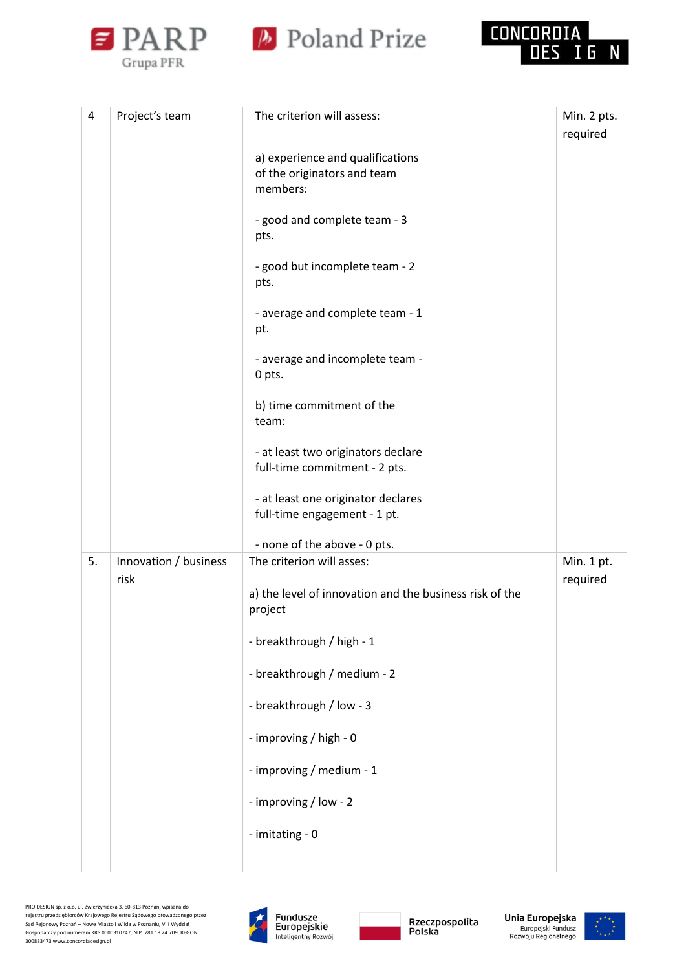





| 4  | Project's team        | The criterion will assess:                                                  | Min. 2 pts.<br>required |
|----|-----------------------|-----------------------------------------------------------------------------|-------------------------|
|    |                       | a) experience and qualifications<br>of the originators and team<br>members: |                         |
|    |                       | - good and complete team - 3<br>pts.                                        |                         |
|    |                       | - good but incomplete team - 2<br>pts.                                      |                         |
|    |                       | - average and complete team - 1<br>pt.                                      |                         |
|    |                       | - average and incomplete team -<br>0 pts.                                   |                         |
|    |                       | b) time commitment of the<br>team:                                          |                         |
|    |                       | - at least two originators declare<br>full-time commitment - 2 pts.         |                         |
|    |                       | - at least one originator declares<br>full-time engagement - 1 pt.          |                         |
|    |                       | - none of the above - 0 pts.                                                |                         |
| 5. | Innovation / business | The criterion will asses:                                                   | Min. 1 pt.              |
|    | risk                  | a) the level of innovation and the business risk of the<br>project          | required                |
|    |                       | - breakthrough / high - 1                                                   |                         |
|    |                       | - breakthrough / medium - 2                                                 |                         |
|    |                       | - breakthrough / low - 3                                                    |                         |
|    |                       | - improving / high - 0                                                      |                         |
|    |                       | - improving / medium - 1                                                    |                         |
|    |                       | - improving / low - 2                                                       |                         |
|    |                       | - imitating - 0                                                             |                         |
|    |                       |                                                                             |                         |